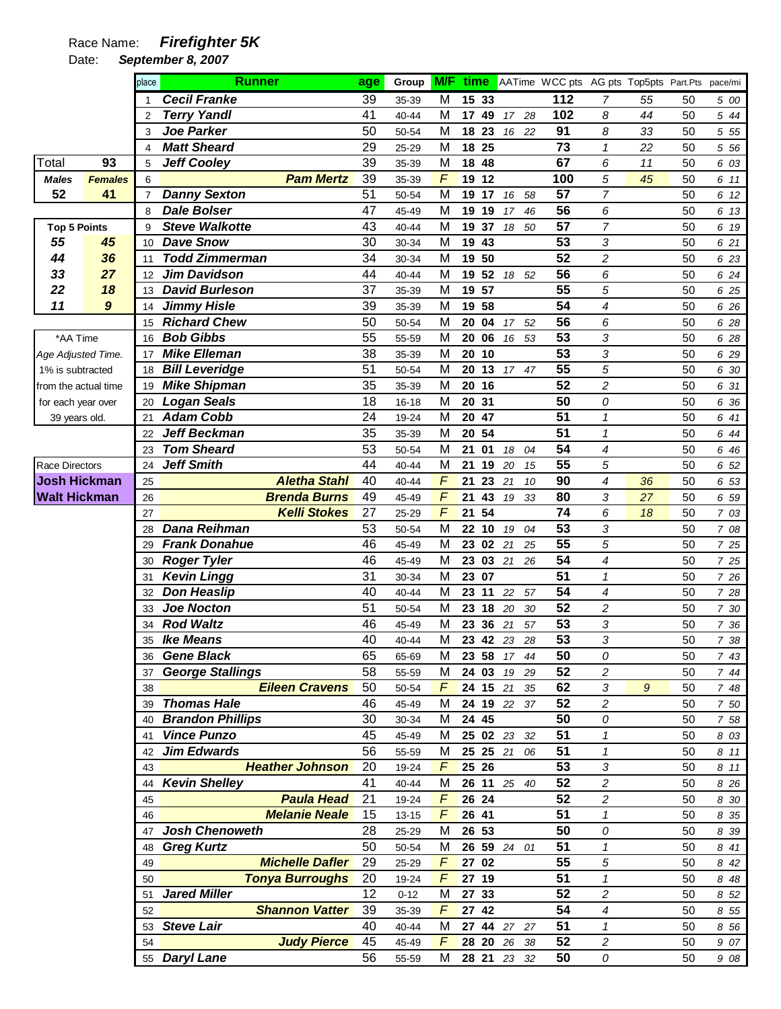## Race Name: **Firefighter 5K**

Date: **September 8, 2007** 

|                       |                  | place          | <b>Runner</b>                              | age      | Group          | <b>M/F</b>      | time AATime WCC pts AG pts Top5pts Part.Pts |                 |                     |          |          | pace/mi      |
|-----------------------|------------------|----------------|--------------------------------------------|----------|----------------|-----------------|---------------------------------------------|-----------------|---------------------|----------|----------|--------------|
|                       |                  |                | <b>Cecil Franke</b>                        | 39       | 35-39          | M               | 15 33                                       | 112             | $\overline{7}$      | 55       | 50       | 5 00         |
|                       |                  | $\overline{2}$ | <b>Terry Yandl</b>                         | 41       | 40-44          | M               | 17<br>49<br>17 28                           | 102             | 8                   | 44       | 50       | 5 44         |
|                       |                  | 3              | <b>Joe Parker</b>                          | 50       | 50-54          | M               | 23<br>18<br>16 22                           | 91              | 8                   | 33       | 50       | 5 5 5        |
|                       |                  | $\overline{4}$ | <b>Matt Sheard</b>                         | 29       | 25-29          | M               | 18 25                                       | $\overline{73}$ | $\mathbf{1}$        | 22       | 50       | 5 5 6        |
| Total                 | 93               | 5              | <b>Jeff Cooley</b>                         | 39       | 35-39          | M               | 18<br>48                                    | 67              | 6                   | 11       | 50       | 6 03         |
| <b>Males</b>          | <b>Females</b>   | 6              | <b>Pam Mertz</b>                           | 39       | 35-39          | F               | 12<br>19                                    | 100             | 5                   | 45       | 50       | 6 11         |
| 52                    | 41               |                | <b>Danny Sexton</b>                        | 51       | 50-54          | M               | 19<br>17<br>16<br>58                        | 57              | $\overline{7}$      |          | 50       | 6 12         |
|                       |                  | 8              | <b>Dale Bolser</b>                         | 47       | 45-49          | M               | 19<br>19<br>17<br>46                        | 56              | 6                   |          | 50       | 6 13         |
| <b>Top 5 Points</b>   |                  | 9              | <b>Steve Walkotte</b>                      | 43       | 40-44          | M               | 37<br>19<br>18 50                           | 57              | $\overline{7}$      |          | 50       | 6 19         |
| 55                    | 45               | 10             | <b>Dave Snow</b>                           | 30       | 30-34          | M               | 19<br>43                                    | 53              | 3                   |          | 50       | 6 21         |
| 44                    | 36               | 11             | Todd Zimmerman                             | 34       | 30-34          | M               | 19<br>50                                    | 52              | 2                   |          | 50       | 6 23         |
| 33                    | 27               | 12             | <b>Jim Davidson</b>                        | 44       | 40-44          | M               | 52<br>19<br>18<br>52                        | 56              | 6                   |          | 50       | 6 24         |
| 22                    | 18               | 13             | <b>David Burleson</b>                      | 37       | 35-39          | M               | 19<br>57                                    | 55              | 5                   |          | 50       | 6 25         |
| 11                    | $\boldsymbol{9}$ | 14             | <b>Jimmy Hisle</b>                         | 39       | 35-39          | M               | 58<br>19                                    | 54              | 4                   |          | 50       | 6 26         |
|                       |                  | 15             | <b>Richard Chew</b>                        | 50       | 50-54          | M               | 20<br>04<br>17 52                           | 56              | 6                   |          | 50       | 6 28         |
| *AA Time              |                  | 16             | <b>Bob Gibbs</b>                           | 55       | 55-59          | M               | 20<br>06<br>16 53                           | 53              | 3                   |          | 50       | 6 28         |
| Age Adjusted Time.    |                  | 17             | <b>Mike Elleman</b>                        | 38       | 35-39          | M               | 20<br>10                                    | 53              | 3                   |          | 50       | 6 29         |
| 1% is subtracted      |                  | 18             | <b>Bill Leveridge</b>                      | 51       | 50-54          | M               | 20<br>13<br>17 47                           | 55              | 5                   |          | 50       | 6 30         |
| from the actual time  |                  | 19             | <b>Mike Shipman</b>                        | 35       | 35-39          | M               | 20<br>16                                    | 52              | $\overline{c}$      |          | 50       | 6 31         |
| for each year over    |                  | 20             | <b>Logan Seals</b>                         | 18       | 16-18          | M               | 31<br>20                                    | 50              | 0                   |          | 50       | 6 36         |
| 39 years old.         |                  | 21             | <b>Adam Cobb</b>                           | 24       | 19-24          | M               | 47<br>20                                    | 51              | $\mathcal I$        |          | 50       | 6 41         |
|                       |                  | 22             | <b>Jeff Beckman</b>                        | 35       | 35-39          | M               | 54<br>20                                    | 51              | $\pmb{\mathcal{1}}$ |          | 50       | 6 44         |
|                       |                  | 23             | <b>Tom Sheard</b>                          | 53       | 50-54          | M               | 21<br>01<br>18<br>04                        | 54              | 4                   |          | 50       | 6 46         |
| <b>Race Directors</b> |                  | 24             | <b>Jeff Smith</b>                          | 44       | 40-44          | M<br>$\sqrt{2}$ | 21<br>19<br>20<br>15                        | 55              | 5                   |          | 50       | 6 52         |
| <b>Josh Hickman</b>   |                  | 25             | <b>Aletha Stahl</b><br><b>Brenda Burns</b> | 40       | 40-44          | $\sqrt{2}$      | 23<br>21<br>21<br>10                        | 90<br>80        | 4                   | 36       | 50       | 6 53         |
| <b>Walt Hickman</b>   |                  | 26<br>27       | <b>Kelli Stokes</b>                        | 49<br>27 | 45-49          | $\sqrt{2}$      | 21<br>43<br>33<br>19<br>54<br>21            | 74              | 3<br>6              | 27<br>18 | 50<br>50 | 6 59<br>7 03 |
|                       |                  |                | <b>Dana Reihman</b>                        | 53       | 25-29          | M               | 22<br>10                                    | 53              | 3                   |          |          |              |
|                       |                  | 28<br>29       | <b>Frank Donahue</b>                       | 46       | 50-54<br>45-49 | M               | 19<br>04<br>23<br>02<br>21<br>25            | 55              | 5                   |          | 50<br>50 | 7 08         |
|                       |                  | 30             | <b>Roger Tyler</b>                         | 46       | 45-49          | M               | 23<br>03<br>21 26                           | 54              | 4                   |          | 50       | 7 25<br>7 25 |
|                       |                  | 31             | <b>Kevin Lingg</b>                         | 31       | 30-34          | M               | 23 07                                       | 51              | 1                   |          | 50       | 7 26         |
|                       |                  | 32             | <b>Don Heaslip</b>                         | 40       | 40-44          | M               | 23<br>11<br>22<br>57                        | 54              | 4                   |          | 50       | 7 28         |
|                       |                  | 33             | <b>Joe Nocton</b>                          | 51       | 50-54          | M               | 23<br>18<br>20<br>30                        | 52              | 2                   |          | 50       | 7 30         |
|                       |                  | 34             | <b>Rod Waltz</b>                           | 46       | 45-49          | M               | 23<br>36<br>21<br>57                        | 53              | 3                   |          | 50       | 7 36         |
|                       |                  | 35             | <b>Ike Means</b>                           | 40       | 40-44          | M               | 23 42 23 28                                 | 53              | 3                   |          | 50       | 7 38         |
|                       |                  | 36             | <b>Gene Black</b>                          | 65       | 65-69          | м               | 23 58 17 44                                 | 50              | 0                   |          | 50       | 7 43         |
|                       |                  | 37             | <b>George Stallings</b>                    | 58       | 55-59          | M               | 24 03<br>19 29                              | 52              | 2                   |          | 50       | 744          |
|                       |                  | 38             | <b>Eileen Cravens</b>                      | 50       | 50-54          | $\mathcal{F}$   | 24 15<br>21 35                              | 62              | 3                   | 9        | 50       | 7 48         |
|                       |                  | 39             | <b>Thomas Hale</b>                         | 46       | 45-49          | M               | 24 19<br>22 37                              | 52              | 2                   |          | 50       | 7 50         |
|                       |                  | 40             | <b>Brandon Phillips</b>                    | 30       | 30-34          | M               | 24 45                                       | 50              | 0                   |          | 50       | 7 58         |
|                       |                  | 41             | <b>Vince Punzo</b>                         | 45       | 45-49          | M               | 25 02 23 32                                 | 51              | $\mathcal I$        |          | 50       | 8 0 3        |
|                       |                  | 42             | <b>Jim Edwards</b>                         | 56       | 55-59          | M               | 25 25 21 06                                 | 51              | $\mathbf{1}$        |          | 50       | 8 11         |
|                       |                  | 43             | <b>Heather Johnson</b>                     | 20       | 19-24          | F               | 25 26                                       | 53              | 3                   |          | 50       | 8 11         |
|                       |                  | 44             | <b>Kevin Shelley</b>                       | 41       | 40-44          | M               | 26<br>11 25 40                              | 52              | $\overline{c}$      |          | 50       | 8 2 6        |
|                       |                  | 45             | <b>Paula Head</b>                          | 21       | 19-24          | F               | 26 24                                       | 52              | 2                   |          | 50       | 8 30         |
|                       |                  | 46             | <b>Melanie Neale</b>                       | 15       | $13 - 15$      | F               | 26 41                                       | 51              | $\mathbf{1}$        |          | 50       | 8 35         |
|                       |                  | 47             | <b>Josh Chenoweth</b>                      | 28       | 25-29          | м               | 26 53                                       | 50              | 0                   |          | 50       | 8 3 9        |
|                       |                  | 48             | <b>Greg Kurtz</b>                          | 50       | 50-54          | M               | 26 59 24 01                                 | 51              | 1                   |          | 50       | 8 41         |
|                       |                  | 49             | <b>Michelle Dafler</b>                     | 29       | 25-29          | F               | 27 02                                       | 55              | 5                   |          | 50       | 8 42         |
|                       |                  | 50             | <b>Tonya Burroughs</b>                     | 20       | 19-24          | $\sqrt{2}$      | 27 19                                       | 51              | $\pmb{\mathcal{1}}$ |          | 50       | 8 4 8        |
|                       |                  | 51             | <b>Jared Miller</b>                        | 12       | $0 - 12$       | M               | 27 33                                       | 52              | 2                   |          | 50       | 8 52         |
|                       |                  | 52             | <b>Shannon Vatter</b>                      | 39       | 35-39          | $\sqrt{2}$      | 27 42                                       | 54              | 4                   |          | 50       | 8 5 5        |
|                       |                  |                | 53 Steve Lair                              | 40       | 40-44          | M               | 27 44 27 27                                 | 51              | $\mathbf{1}$        |          | 50       | 8 56         |
|                       |                  | 54             | <b>Judy Pierce</b>                         | 45       | 45-49          | $\sqrt{F}$      | 28 20 26 38                                 | 52              | 2                   |          | 50       | 9 07         |
|                       |                  |                | 55 Daryl Lane                              | 56       | 55-59          | M               | 28 21 23 32                                 | 50              | 0                   |          | 50       | 9 08         |